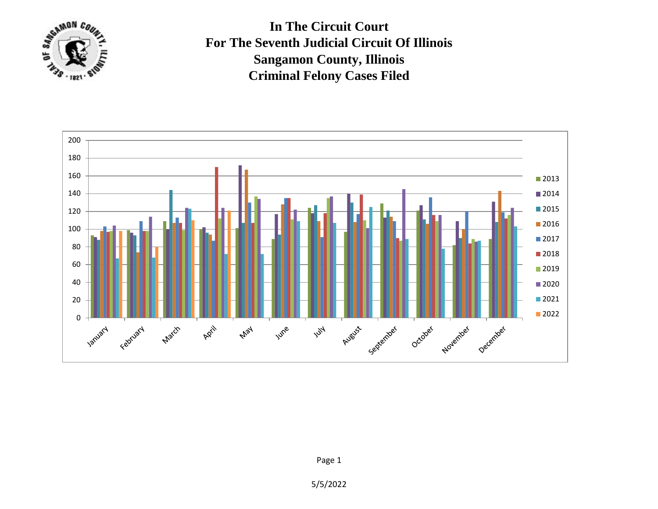

**In The Circuit Court For The Seventh Judicial Circuit Of Illinois Sangamon County, Illinois Criminal Felony Cases Filed**



5/5/2022